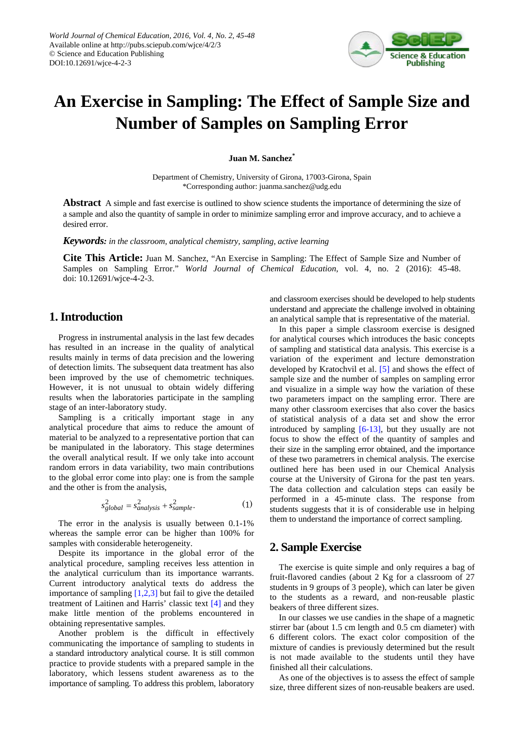

# **An Exercise in Sampling: The Effect of Sample Size and Number of Samples on Sampling Error**

**Juan M. Sanchez\***

Department of Chemistry, University of Girona, 17003-Girona, Spain \*Corresponding author: juanma.sanchez@udg.edu

**Abstract** A simple and fast exercise is outlined to show science students the importance of determining the size of a sample and also the quantity of sample in order to minimize sampling error and improve accuracy, and to achieve a desired error.

*Keywords: in the classroom, analytical chemistry, sampling, active learning*

**Cite This Article:** Juan M. Sanchez, "An Exercise in Sampling: The Effect of Sample Size and Number of Samples on Sampling Error." *World Journal of Chemical Education*, vol. 4, no. 2 (2016): 45-48. doi: 10.12691/wjce-4-2-3.

## **1. Introduction**

Progress in instrumental analysis in the last few decades has resulted in an increase in the quality of analytical results mainly in terms of data precision and the lowering of detection limits. The subsequent data treatment has also been improved by the use of chemometric techniques. However, it is not unusual to obtain widely differing results when the laboratories participate in the sampling stage of an inter-laboratory study.

Sampling is a critically important stage in any analytical procedure that aims to reduce the amount of material to be analyzed to a representative portion that can be manipulated in the laboratory. This stage determines the overall analytical result. If we only take into account random errors in data variability, two main contributions to the global error come into play: one is from the sample and the other is from the analysis,

$$
s_{global}^2 = s_{analysis}^2 + s_{sample}^2.
$$
 (1)

The error in the analysis is usually between 0.1-1% whereas the sample error can be higher than 100% for samples with considerable heterogeneity.

Despite its importance in the global error of the analytical procedure, sampling receives less attention in the analytical curriculum than its importance warrants. Current introductory analytical texts do address the importance of sampling  $[1,2,3]$  but fail to give the detailed treatment of Laitinen and Harris' classic text [\[4\]](#page-3-0) and they make little mention of the problems encountered in obtaining representative samples.

Another problem is the difficult in effectively communicating the importance of sampling to students in a standard introductory analytical course. It is still common practice to provide students with a prepared sample in the laboratory, which lessens student awareness as to the importance of sampling. To address this problem, laboratory and classroom exercises should be developed to help students understand and appreciate the challenge involved in obtaining an analytical sample that is representative of the material.

In this paper a simple classroom exercise is designed for analytical courses which introduces the basic concepts of sampling and statistical data analysis. This exercise is a variation of the experiment and lecture demonstration developed by Kratochvil et al. [\[5\]](#page-3-1) and shows the effect of sample size and the number of samples on sampling error and visualize in a simple way how the variation of these two parameters impact on the sampling error. There are many other classroom exercises that also cover the basics of statistical analysis of a data set and show the error introduced by sampling  $[6-13]$ , but they usually are not focus to show the effect of the quantity of samples and their size in the sampling error obtained, and the importance of these two parametrers in chemical analysis. The exercise outlined here has been used in our Chemical Analysis course at the University of Girona for the past ten years. The data collection and calculation steps can easily be performed in a 45-minute class. The response from students suggests that it is of considerable use in helping them to understand the importance of correct sampling.

## **2. Sample Exercise**

The exercise is quite simple and only requires a bag of fruit-flavored candies (about 2 Kg for a classroom of 27 students in 9 groups of 3 people), which can later be given to the students as a reward, and non-reusable plastic beakers of three different sizes.

In our classes we use candies in the shape of a magnetic stirrer bar (about 1.5 cm length and 0.5 cm diameter) with 6 different colors. The exact color composition of the mixture of candies is previously determined but the result is not made available to the students until they have finished all their calculations.

As one of the objectives is to assess the effect of sample size, three different sizes of non-reusable beakers are used.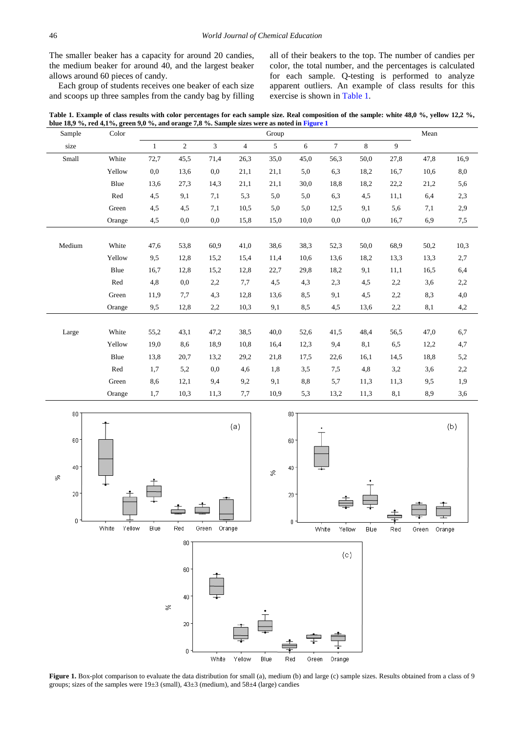The smaller beaker has a capacity for around 20 candies, the medium beaker for around 40, and the largest beaker allows around 60 pieces of candy.

Each group of students receives one beaker of each size and scoops up three samples from the candy bag by filling all of their beakers to the top. The number of candies per color, the total number, and the percentages is calculated for each sample. Q-testing is performed to analyze apparent outliers. An example of class results for this exercise is shown i[n Table 1.](#page-1-0)

**Table 1. Example of class results with color percentages for each sample size. Real composition of the sample: white 48,0 %, yellow 12,2 %, blue 18,9 %, red 4,1%, green 9,0 %, and orange 7,8 %. Sample sizes were as noted i[n Figure 1](#page-1-1)**

<span id="page-1-0"></span>

| Sample | Color  | Group        |                |                |                |      |      |        |      |      | Mean |      |
|--------|--------|--------------|----------------|----------------|----------------|------|------|--------|------|------|------|------|
| size   |        | $\mathbf{1}$ | $\overline{2}$ | $\overline{3}$ | $\overline{4}$ | 5    | 6    | $\tau$ | 8    | 9    |      |      |
| Small  | White  | 72,7         | 45,5           | 71,4           | 26,3           | 35,0 | 45,0 | 56.3   | 50,0 | 27,8 | 47,8 | 16,9 |
|        | Yellow | 0,0          | 13.6           | 0,0            | 21,1           | 21,1 | 5,0  | 6,3    | 18,2 | 16,7 | 10,6 | 8,0  |
|        | Blue   | 13,6         | 27,3           | 14,3           | 21,1           | 21,1 | 30,0 | 18,8   | 18,2 | 22,2 | 21,2 | 5,6  |
|        | Red    | 4,5          | 9,1            | 7,1            | 5,3            | 5,0  | 5,0  | 6,3    | 4,5  | 11,1 | 6,4  | 2,3  |
|        | Green  | 4,5          | 4,5            | 7,1            | 10,5           | 5,0  | 5,0  | 12,5   | 9,1  | 5,6  | 7,1  | 2,9  |
|        | Orange | 4,5          | 0,0            | 0,0            | 15,8           | 15,0 | 10,0 | 0,0    | 0,0  | 16,7 | 6,9  | 7,5  |
|        |        |              |                |                |                |      |      |        |      |      |      |      |
| Medium | White  | 47,6         | 53,8           | 60,9           | 41,0           | 38,6 | 38,3 | 52,3   | 50,0 | 68,9 | 50,2 | 10,3 |
|        | Yellow | 9,5          | 12,8           | 15,2           | 15,4           | 11,4 | 10.6 | 13,6   | 18,2 | 13,3 | 13,3 | 2,7  |
|        | Blue   | 16,7         | 12,8           | 15,2           | 12,8           | 22,7 | 29,8 | 18,2   | 9,1  | 11,1 | 16,5 | 6,4  |
|        | Red    | 4,8          | 0,0            | 2,2            | 7,7            | 4,5  | 4,3  | 2,3    | 4,5  | 2,2  | 3,6  | 2,2  |
|        | Green  | 11,9         | 7,7            | 4,3            | 12,8           | 13,6 | 8,5  | 9,1    | 4,5  | 2,2  | 8,3  | 4,0  |
|        | Orange | 9,5          | 12,8           | 2,2            | 10,3           | 9,1  | 8,5  | 4,5    | 13,6 | 2,2  | 8,1  | 4,2  |
|        |        |              |                |                |                |      |      |        |      |      |      |      |
| Large  | White  | 55,2         | 43,1           | 47,2           | 38,5           | 40,0 | 52,6 | 41,5   | 48,4 | 56,5 | 47,0 | 6,7  |
|        | Yellow | 19,0         | 8,6            | 18,9           | 10.8           | 16,4 | 12,3 | 9,4    | 8,1  | 6,5  | 12,2 | 4,7  |
|        | Blue   | 13.8         | 20,7           | 13,2           | 29,2           | 21,8 | 17,5 | 22,6   | 16,1 | 14,5 | 18,8 | 5,2  |
|        | Red    | 1,7          | 5,2            | 0,0            | 4,6            | 1,8  | 3,5  | 7,5    | 4,8  | 3,2  | 3,6  | 2,2  |
|        | Green  | 8,6          | 12,1           | 9,4            | 9,2            | 9,1  | 8,8  | 5,7    | 11,3 | 11,3 | 9,5  | 1,9  |
|        | Orange | 1,7          | 10,3           | 11,3           | 7,7            | 10,9 | 5,3  | 13,2   | 11,3 | 8,1  | 8,9  | 3,6  |

<span id="page-1-1"></span>

**Figure 1.** Box-plot comparison to evaluate the data distribution for small (a), medium (b) and large (c) sample sizes. Results obtained from a class of 9 groups; sizes of the samples were 19±3 (small), 43±3 (medium), and 58±4 (large) candies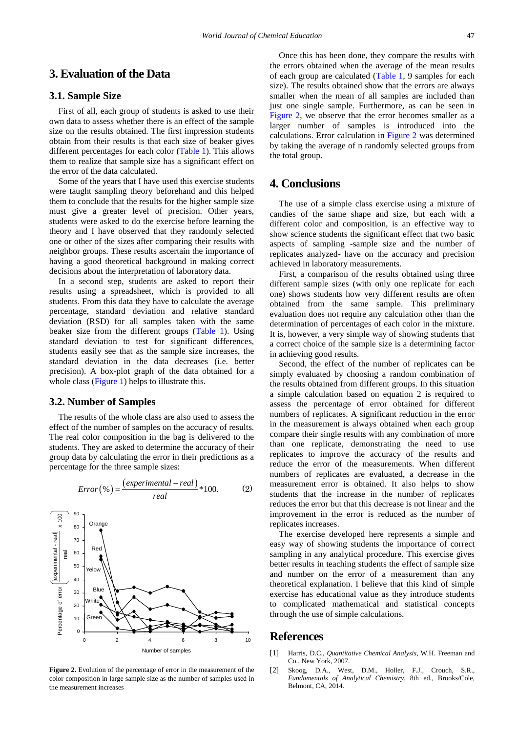## **3. Evaluation of the Data**

### **3.1. Sample Size**

First of all, each group of students is asked to use their own data to assess whether there is an effect of the sample size on the results obtained. The first impression students obtain from their results is that each size of beaker gives different percentages for each color [\(Table 1\)](#page-1-0). This allows them to realize that sample size has a significant effect on the error of the data calculated.

Some of the years that I have used this exercise students were taught sampling theory beforehand and this helped them to conclude that the results for the higher sample size must give a greater level of precision. Other years, students were asked to do the exercise before learning the theory and I have observed that they randomly selected one or other of the sizes after comparing their results with neighbor groups. These results ascertain the importance of having a good theoretical background in making correct decisions about the interpretation of laboratory data.

In a second step, students are asked to report their results using a spreadsheet, which is provided to all students. From this data they have to calculate the average percentage, standard deviation and relative standard deviation (RSD) for all samples taken with the same beaker size from the different groups [\(Table 1\)](#page-1-0). Using standard deviation to test for significant differences, students easily see that as the sample size increases, the standard deviation in the data decreases (i.e. better precision). A box-plot graph of the data obtained for a whole class [\(Figure 1\)](#page-1-1) helps to illustrate this.

#### **3.2. Number of Samples**

The results of the whole class are also used to assess the effect of the number of samples on the accuracy of results. The real color composition in the bag is delivered to the students. They are asked to determine the accuracy of their group data by calculating the error in their predictions as a percentage for the three sample sizes:

<span id="page-2-1"></span>

**Figure 2.** Evolution of the percentage of error in the measurement of the color composition in large sample size as the number of samples used in the measurement increases

Once this has been done, they compare the results with the errors obtained when the average of the mean results of each group are calculated [\(Table 1,](#page-1-0) 9 samples for each size). The results obtained show that the errors are always smaller when the mean of all samples are included than just one single sample. Furthermore, as can be seen in [Figure 2,](#page-2-1) we observe that the error becomes smaller as a larger number of samples is introduced into the calculations. Error calculation in [Figure 2](#page-2-1) was determined by taking the average of n randomly selected groups from the total group.

## **4. Conclusions**

The use of a simple class exercise using a mixture of candies of the same shape and size, but each with a different color and composition, is an effective way to show science students the significant effect that two basic aspects of sampling -sample size and the number of replicates analyzed- have on the accuracy and precision achieved in laboratory measurements.

First, a comparison of the results obtained using three different sample sizes (with only one replicate for each one) shows students how very different results are often obtained from the same sample. This preliminary evaluation does not require any calculation other than the determination of percentages of each color in the mixture. It is, however, a very simple way of showing students that a correct choice of the sample size is a determining factor in achieving good results.

Second, the effect of the number of replicates can be simply evaluated by choosing a random combination of the results obtained from different groups. In this situation a simple calculation based on equation 2 is required to assess the percentage of error obtained for different numbers of replicates. A significant reduction in the error in the measurement is always obtained when each group compare their single results with any combination of more than one replicate, demonstrating the need to use replicates to improve the accuracy of the results and reduce the error of the measurements. When different numbers of replicates are evaluated, a decrease in the measurement error is obtained. It also helps to show students that the increase in the number of replicates reduces the error but that this decrease is not linear and the improvement in the error is reduced as the number of replicates increases.

The exercise developed here represents a simple and easy way of showing students the importance of correct sampling in any analytical procedure. This exercise gives better results in teaching students the effect of sample size and number on the error of a measurement than any theoretical explanation. I believe that this kind of simple exercise has educational value as they introduce students to complicated mathematical and statistical concepts through the use of simple calculations.

## **References**

- <span id="page-2-0"></span>[1] Harris, D.C., *Quantitative Chemical Analysis*, W.H. Freeman and Co., New York, 2007.
- [2] Skoog, D.A., West, D.M., Holler, F.J., Crouch, S.R., *Fundamentals of Analytical Chemistry*, 8th ed., Brooks/Cole, Belmont, CA, 2014.